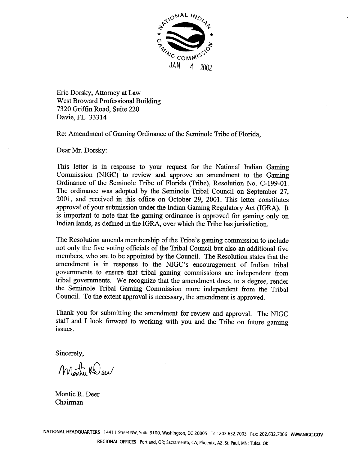

Eric Dorsky, Attorney at Law West Broward Professional Building 7320 Griffin Road, Suite 220 Davie, FL 33314

Re: Amendment of Gaming Ordinance of the Seminole Tribe of Florida,

Dear Mr. Dorsky:

This letter is in response to your request for the National Indian Gaming Commission (NIGC) to review and approve an amendment to the Gaming Ordinance of the Seminole Tribe of Florida (Tribe), Resolution No. C-199-01. The ordinance was adopted by the Seminole Tribal Council on September 27, 2001, and received in this office on October 29, 2001. This letter constitutes approval of your submission under the Indian Gaming Regulatory Act (IGRA). It is important to note that the gaming ordinance is approved for gaming only on Indian lands, as defined in the IGRA, over which the Tribe has jurisdiction.

The Resolution amends membership of the Tribe's gaming commission to include not only the five voting officials of the Tribal Council but also an additional five members, who are to be appointed by the Council. The Resolution states that the amendment is in response to the NIGC's encouragement of Indian tribal governments to ensure that tribal gaming commissions are independent from tribal governments. We recognize that the amendment does, to a degree, render the Seminole Tribal Gaming Commission more independent from the Tribal Council. To the extent approval is necessary, the amendment is approved.

Thank you for submitting the amendment for review and approval. The NIGC staff and I look forward to working with you and the Tribe on future gaming issues.

Sincerely,

Monti Weer

Montie R. Deer Chairman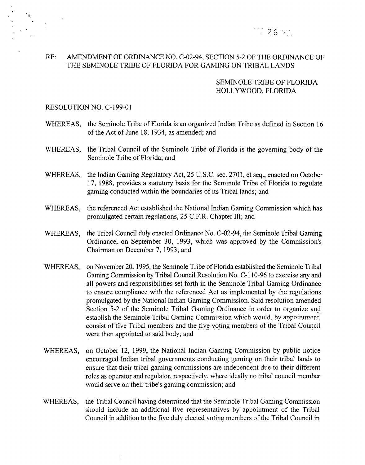

## **RE: AMENDMENT OF ORDINANCE NO. C-02-94, SECTION 5-2 OF THE ORDINANCE OF THE SEMINOLE TRIBE OF FLORIDA FOR GAMING ON TRIBAL LANDS**

### **SEMINOLE TRIBE OF FLORIDA HOLLYWOOD, FLORIDA**

### **RESOLUTION NO. C-199-OI**

- **WHEREAS, the Seminole Tribe of Florida is an organized Indian Tribe as defined in Section <sup>16</sup> of the Act of June 18, 1934, as amended; and**
- **WHEREAS, the Tribal Council of the Seminole Tribe of Florida is the governing body of the Seminole Tribe of Florida; and**
- **WHEREAS, the Indian Gaming Regulatory Act, 25 U.S.C. sec. 2701, et seq., enacted on October 17, 1988, provides <sup>a</sup> statutory basis for the Seminole Tribe of Florida to regulate gaming conducted within the boundaries of its Tribal lands; and**
- **WHEREAS, the referenced Act established the National Indian Gaming Commission which has promulgated certain regulations, 25 C.F.R. Chapter III; and**
- **WHEREAS, the Tribal Council duly enacted Ordinance No. C-02-94, the Seminole Tribal Gaming Ordinance, on September 30, 1993, which was approved by the Commissions Chairman on December 7, 1993; and**
- **WHEREAS, on November 20, 1995, the Seminole Tribe of Florida established the Seminole Tribal Gaming Commission by Tribal Council Resolution No. C-i 10-96 to exercise any and all powers and responsibilities set forth in the Seminole Tribal Gaming Ordinance to ensure compliance with the referenced Act as implemented by the regulations promulgated by the National Indian Gaming Commission. Said resolution amended Section 5-2 of the Seminole Tribal Gaming Ordinance in order to organize and establish the Seminole Tribal Gaming Commission which would, by appointment. consist of five Tribal members and the five voting members of the Tribal Council were then appointed to said body; and**
- **WHEREAS, on October 12, 1999, the National Indian Gaming Commission by public notice encouraged Indian tribal governments conducting gaming on their tribal lands to ensure that their tribal gaming commissions are independent due to their different roles as operator and regulator, respectively, where ideally no tribal council member would** serve on their tribe's gaming commission; and
- **WHEREAS, the Tribal Council having determined that the Seminole Tribal Gaming Commission should include an additional five representatives by appointment of the Tribal Council in addition to the five duly elected voting members of the Tribal Council in**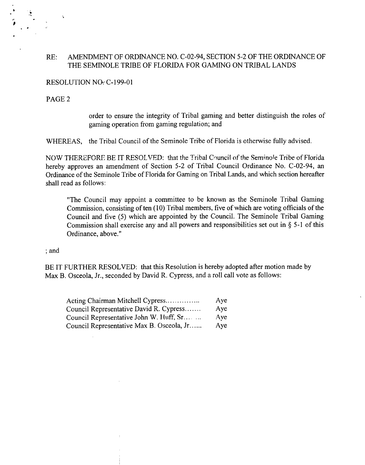### **RE: AMENDMENT OF ORDINANCE NO. C-02-94, SECTION 5-2 OF THE ORDINANCE OF THE SEMINOLE TRIBE OF FLORIDA FOR GAMING ON TRIBAL LANDS**

### **RESOLUTION NO-C-l 99-0 <sup>1</sup>**

### **PAGE <sup>2</sup>**

**order to ensure the integrity of Tribal gaming and better distinguish the roles of gaming operation from gaming regulation; and**

**WHEREAS, the Tribal Council of the Seminole Tribe of Florida is otherwise fully advised.**

**NOW THEREFORE BE IT RESOLVED: that the Tribal Council of the Seminole Tribe of Florida hereby approves an amendment of Section 5-2 of Tribal Council Ordinance No. C-02-94, an Ordinance of the Seminole Tribe of Florida for Gaming on Tribal Lands, and which section hereafter shall read as follows:**

**The Council may appoint <sup>a</sup> committee to be known as the Seminole Tribal Gaming Commission, consisting often (10) Tribal members, five of which are voting officials of the Council and five (5) which are appointed by the Council. The Seminole Tribal Gaming Commission shall exercise any and all powers and responsibilities set out in § 5-1 of this Ordinance, above.**

**and**

**BE IT FURTHER RESOLVED: that this Resolution is hereby adopted after motion made by Max B. Osceola, Jr., seconded by David R. Cypress, and <sup>a</sup> roll call vote as follows:**

| Acting Chairman Mitchell Cypress          | Aye |
|-------------------------------------------|-----|
| Council Representative David R. Cypress   | Aye |
| Council Representative John W. Huff, Sr   | Aye |
| Council Representative Max B. Osceola, Jr | Aye |